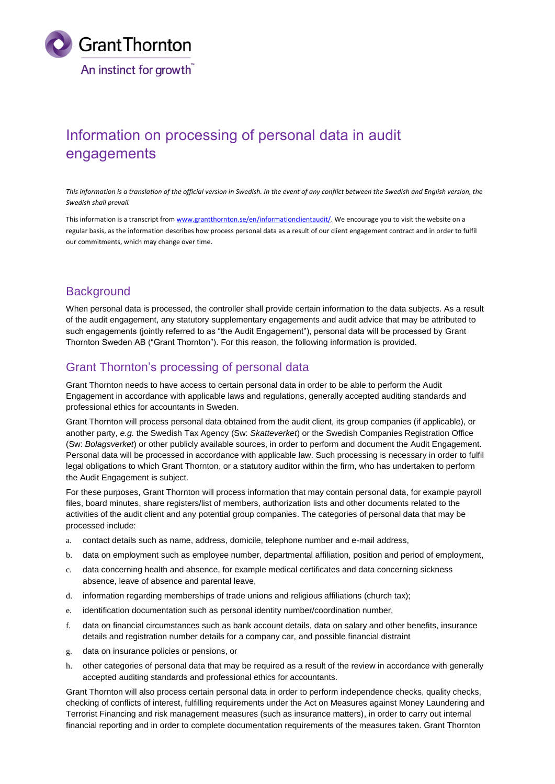

# Information on processing of personal data in audit engagements

*This information is a translation of the official version in Swedish. In the event of any conflict between the Swedish and English version, the Swedish shall prevail.*

This information is a transcript fro[m www.grantthornton.se/en/informationclientaudit/.](http://www.grantthornton.se/en/informationclientaudit/) We encourage you to visit the website on a regular basis, as the information describes how process personal data as a result of our client engagement contract and in order to fulfil our commitments, which may change over time.

#### **Background**

When personal data is processed, the controller shall provide certain information to the data subjects. As a result of the audit engagement, any statutory supplementary engagements and audit advice that may be attributed to such engagements (jointly referred to as "the Audit Engagement"), personal data will be processed by Grant Thornton Sweden AB ("Grant Thornton"). For this reason, the following information is provided.

#### Grant Thornton's processing of personal data

Grant Thornton needs to have access to certain personal data in order to be able to perform the Audit Engagement in accordance with applicable laws and regulations, generally accepted auditing standards and professional ethics for accountants in Sweden.

Grant Thornton will process personal data obtained from the audit client, its group companies (if applicable), or another party, *e.g.* the Swedish Tax Agency (Sw: *Skatteverket*) or the Swedish Companies Registration Office (Sw: *Bolagsverket*) or other publicly available sources, in order to perform and document the Audit Engagement. Personal data will be processed in accordance with applicable law. Such processing is necessary in order to fulfil legal obligations to which Grant Thornton, or a statutory auditor within the firm, who has undertaken to perform the Audit Engagement is subject.

For these purposes, Grant Thornton will process information that may contain personal data, for example payroll files, board minutes, share registers/list of members, authorization lists and other documents related to the activities of the audit client and any potential group companies. The categories of personal data that may be processed include:

- a. contact details such as name, address, domicile, telephone number and e-mail address,
- b. data on employment such as employee number, departmental affiliation, position and period of employment,
- c. data concerning health and absence, for example medical certificates and data concerning sickness absence, leave of absence and parental leave,
- d. information regarding memberships of trade unions and religious affiliations (church tax);
- e. identification documentation such as personal identity number/coordination number,
- f. data on financial circumstances such as bank account details, data on salary and other benefits, insurance details and registration number details for a company car, and possible financial distraint
- g. data on insurance policies or pensions, or
- h. other categories of personal data that may be required as a result of the review in accordance with generally accepted auditing standards and professional ethics for accountants.

Grant Thornton will also process certain personal data in order to perform independence checks, quality checks, checking of conflicts of interest, fulfilling requirements under the Act on Measures against Money Laundering and Terrorist Financing and risk management measures (such as insurance matters), in order to carry out internal financial reporting and in order to complete documentation requirements of the measures taken. Grant Thornton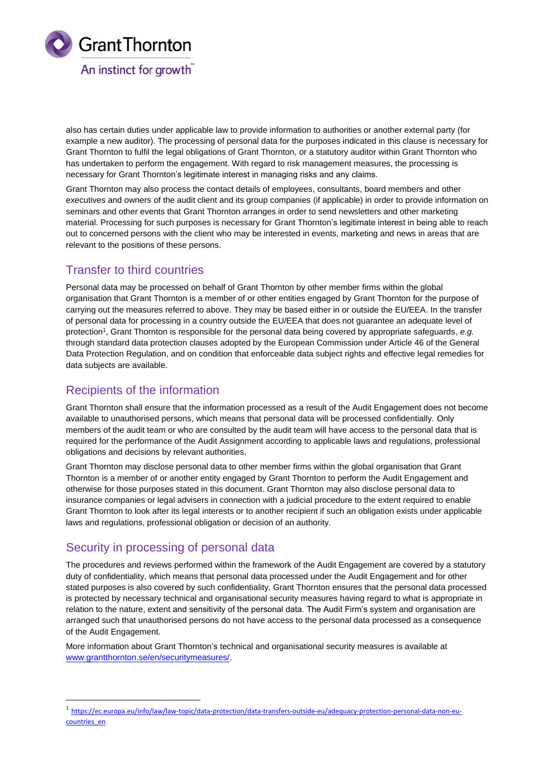

also has certain duties under applicable law to provide information to authorities or another external party (for example a new auditor). The processing of personal data for the purposes indicated in this clause is necessary for Grant Thornton to fulfil the legal obligations of Grant Thornton, or a statutory auditor within Grant Thornton who has undertaken to perform the engagement. With regard to risk management measures, the processing is necessary for Grant Thornton's legitimate interest in managing risks and any claims.

Grant Thornton may also process the contact details of employees, consultants, board members and other executives and owners of the audit client and its group companies (if applicable) in order to provide information on seminars and other events that Grant Thornton arranges in order to send newsletters and other marketing material. Processing for such purposes is necessary for Grant Thornton's legitimate interest in being able to reach out to concerned persons with the client who may be interested in events, marketing and news in areas that are relevant to the positions of these persons.

# Transfer to third countries

Personal data may be processed on behalf of Grant Thornton by other member firms within the global organisation that Grant Thornton is a member of or other entities engaged by Grant Thornton for the purpose of carrying out the measures referred to above. They may be based either in or outside the EU/EEA. In the transfer of personal data for processing in a country outside the EU/EEA that does not guarantee an adequate level of protection<sup>1</sup> , Grant Thornton is responsible for the personal data being covered by appropriate safeguards, *e.g.* through standard data protection clauses adopted by the European Commission under Article 46 of the General Data Protection Regulation, and on condition that enforceable data subject rights and effective legal remedies for data subjects are available.

### Recipients of the information

Grant Thornton shall ensure that the information processed as a result of the Audit Engagement does not become available to unauthorised persons, which means that personal data will be processed confidentially. Only members of the audit team or who are consulted by the audit team will have access to the personal data that is required for the performance of the Audit Assignment according to applicable laws and regulations, professional obligations and decisions by relevant authorities.

Grant Thornton may disclose personal data to other member firms within the global organisation that Grant Thornton is a member of or another entity engaged by Grant Thornton to perform the Audit Engagement and otherwise for those purposes stated in this document. Grant Thornton may also disclose personal data to insurance companies or legal advisers in connection with a judicial procedure to the extent required to enable Grant Thornton to look after its legal interests or to another recipient if such an obligation exists under applicable laws and regulations, professional obligation or decision of an authority.

# Security in processing of personal data

-

The procedures and reviews performed within the framework of the Audit Engagement are covered by a statutory duty of confidentiality, which means that personal data processed under the Audit Engagement and for other stated purposes is also covered by such confidentiality. Grant Thornton ensures that the personal data processed is protected by necessary technical and organisational security measures having regard to what is appropriate in relation to the nature, extent and sensitivity of the personal data. The Audit Firm's system and organisation are arranged such that unauthorised persons do not have access to the personal data processed as a consequence of the Audit Engagement.

More information about Grant Thornton's technical and organisational security measures is available at [www.grantthornton.se/en/securitymeasures/.](http://www.grantthornton.se/en/securitymeasures/)

<sup>&</sup>lt;sup>1</sup> [https://ec.europa.eu/info/law/law-topic/data-protection/data-transfers-outside-eu/adequacy-protection-personal-data-non-eu](https://ec.europa.eu/info/law/law-topic/data-protection/data-transfers-outside-eu/adequacy-protection-personal-data-non-eu-countries_en)[countries\\_en](https://ec.europa.eu/info/law/law-topic/data-protection/data-transfers-outside-eu/adequacy-protection-personal-data-non-eu-countries_en)